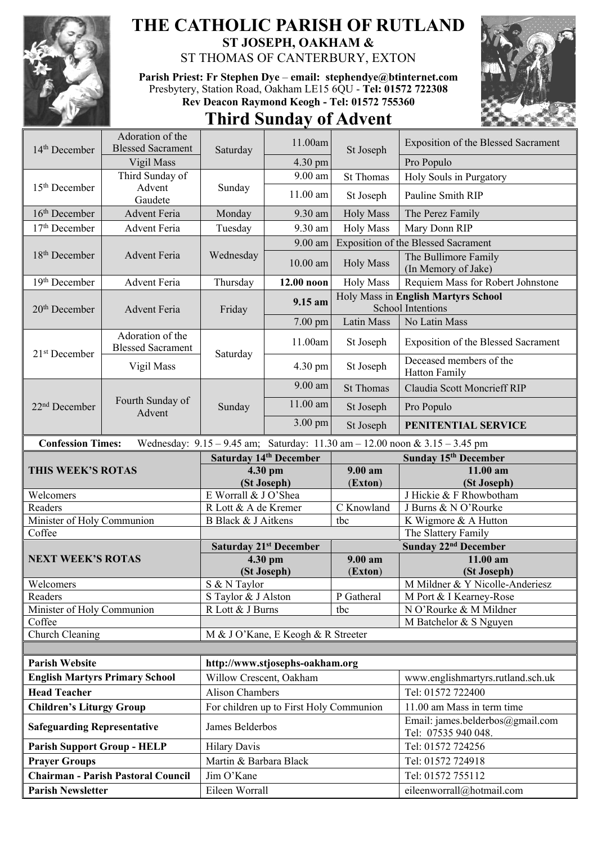

## **THE CATHOLIC PARISH OF RUTLAND ST JOSEPH, OAKHAM &**

ST THOMAS OF CANTERBURY, EXTON

**Parish Priest: Fr Stephen Dye** – **[email: stephendye@btinternet.com](mailto:email:%20%20stephendye@btinternet.com)** Presbytery, Station Road, Oakham LE15 6QU - **Tel: 01572 722308 Rev Deacon Raymond Keogh - Tel: 01572 755360**

## **Third Sunday of Advent**



| 14 <sup>th</sup> December                                  | Adoration of the<br><b>Blessed Sacrament</b> | Saturday                | 11.00am                                 |                  | <b>Exposition of the Blessed Sacrament</b>                                  |  |
|------------------------------------------------------------|----------------------------------------------|-------------------------|-----------------------------------------|------------------|-----------------------------------------------------------------------------|--|
|                                                            | Vigil Mass                                   |                         | 4.30 pm                                 | St Joseph        | Pro Populo                                                                  |  |
| 15 <sup>th</sup> December                                  | Third Sunday of                              | Sunday                  | 9.00 am                                 | <b>St Thomas</b> | Holy Souls in Purgatory                                                     |  |
|                                                            | Advent<br>Gaudete                            |                         | 11.00 am                                | St Joseph        | Pauline Smith RIP                                                           |  |
| $16th$ December                                            | <b>Advent Feria</b>                          | Monday                  | 9.30 am                                 | <b>Holy Mass</b> | The Perez Family                                                            |  |
| 17 <sup>th</sup> December                                  | Advent Feria                                 | Tuesday                 | 9.30 am                                 | <b>Holy Mass</b> | Mary Donn RIP                                                               |  |
|                                                            |                                              |                         | 9.00 am                                 |                  | <b>Exposition of the Blessed Sacrament</b>                                  |  |
| 18 <sup>th</sup> December                                  | <b>Advent Feria</b>                          | Wednesday               | $10.00$ am                              | <b>Holy Mass</b> | The Bullimore Family<br>(In Memory of Jake)                                 |  |
| 19th December                                              | Advent Feria                                 | Thursday                | 12.00 noon                              | <b>Holy Mass</b> | Requiem Mass for Robert Johnstone                                           |  |
| $20th$ December                                            | <b>Advent Feria</b>                          | Friday                  | 9.15 am                                 |                  | Holy Mass in English Martyrs School<br><b>School Intentions</b>             |  |
|                                                            |                                              |                         | 7.00 pm                                 | Latin Mass       | No Latin Mass                                                               |  |
|                                                            | Adoration of the<br><b>Blessed Sacrament</b> | Saturday                | 11.00am                                 | St Joseph        | Exposition of the Blessed Sacrament                                         |  |
| $21st$ December                                            | Vigil Mass                                   |                         | 4.30 pm                                 | St Joseph        | Deceased members of the<br><b>Hatton Family</b>                             |  |
|                                                            | Fourth Sunday of<br>Advent                   | Sunday                  | 9.00 am                                 | <b>St Thomas</b> | <b>Claudia Scott Moncrieff RIP</b>                                          |  |
| 22 <sup>nd</sup> December                                  |                                              |                         | 11.00 am                                | St Joseph        | Pro Populo                                                                  |  |
|                                                            |                                              |                         | 3.00 pm                                 | St Joseph        | PENITENTIAL SERVICE                                                         |  |
| <b>Confession Times:</b>                                   |                                              |                         |                                         |                  | Wednesday: 9.15 - 9.45 am; Saturday: 11.30 am - 12.00 noon & 3.15 - 3.45 pm |  |
| Saturday 14th December<br>Sunday 15 <sup>th</sup> December |                                              |                         |                                         |                  |                                                                             |  |
|                                                            |                                              |                         |                                         |                  |                                                                             |  |
| THIS WEEK'S ROTAS                                          |                                              |                         | 4.30 pm                                 | 9.00 am          | 11.00 am                                                                    |  |
|                                                            |                                              |                         | (St Joseph)                             | (Exton)          | (St Joseph)                                                                 |  |
| Welcomers                                                  |                                              | E Worrall & J O'Shea    |                                         |                  | J Hickie & F Rhowbotham                                                     |  |
| Readers                                                    |                                              | R Lott & A de Kremer    |                                         | C Knowland       | J Burns & N O'Rourke                                                        |  |
| Minister of Holy Communion                                 |                                              | B Black & J Aitkens     |                                         | tbc              | K Wigmore & A Hutton                                                        |  |
| Coffee                                                     |                                              |                         |                                         |                  | The Slattery Family                                                         |  |
| <b>NEXT WEEK'S ROTAS</b>                                   |                                              |                         | <b>Saturday 21st December</b>           | 9.00 am          | Sunday 22 <sup>nd</sup> December<br>11.00 am                                |  |
|                                                            |                                              |                         | 4.30 pm                                 |                  |                                                                             |  |
| Welcomers                                                  |                                              | S & N Taylor            | (St Joseph)                             | (Exton)          | (St Joseph)<br>M Mildner & Y Nicolle-Anderiesz                              |  |
| Readers                                                    |                                              | S Taylor & J Alston     |                                         | P Gatheral       | M Port & I Kearney-Rose                                                     |  |
| Minister of Holy Communion                                 |                                              | R Lott & J Burns        |                                         | tbc              | N O'Rourke & M Mildner                                                      |  |
| Coffee                                                     |                                              |                         |                                         |                  | M Batchelor & S Nguyen                                                      |  |
| Church Cleaning                                            |                                              |                         | M & J O'Kane, E Keogh & R Streeter      |                  |                                                                             |  |
|                                                            |                                              |                         |                                         |                  |                                                                             |  |
| <b>Parish Website</b>                                      |                                              |                         | http://www.stjosephs-oakham.org         |                  |                                                                             |  |
|                                                            | <b>English Martyrs Primary School</b>        | Willow Crescent, Oakham |                                         |                  | www.englishmartyrs.rutland.sch.uk                                           |  |
| <b>Head Teacher</b>                                        |                                              | <b>Alison Chambers</b>  |                                         |                  | Tel: 01572 722400                                                           |  |
| <b>Children's Liturgy Group</b>                            |                                              |                         | For children up to First Holy Communion |                  | 11.00 am Mass in term time                                                  |  |
| <b>Safeguarding Representative</b>                         |                                              | James Belderbos         |                                         |                  | Email: james.belderbos@gmail.com<br>Tel: 07535 940 048.                     |  |
| <b>Parish Support Group - HELP</b>                         |                                              | <b>Hilary Davis</b>     |                                         |                  | Tel: 01572 724256                                                           |  |
| <b>Prayer Groups</b>                                       |                                              | Martin & Barbara Black  |                                         |                  | Tel: 01572 724918                                                           |  |
|                                                            | <b>Chairman - Parish Pastoral Council</b>    | Jim O'Kane              |                                         |                  | Tel: 01572 755112                                                           |  |